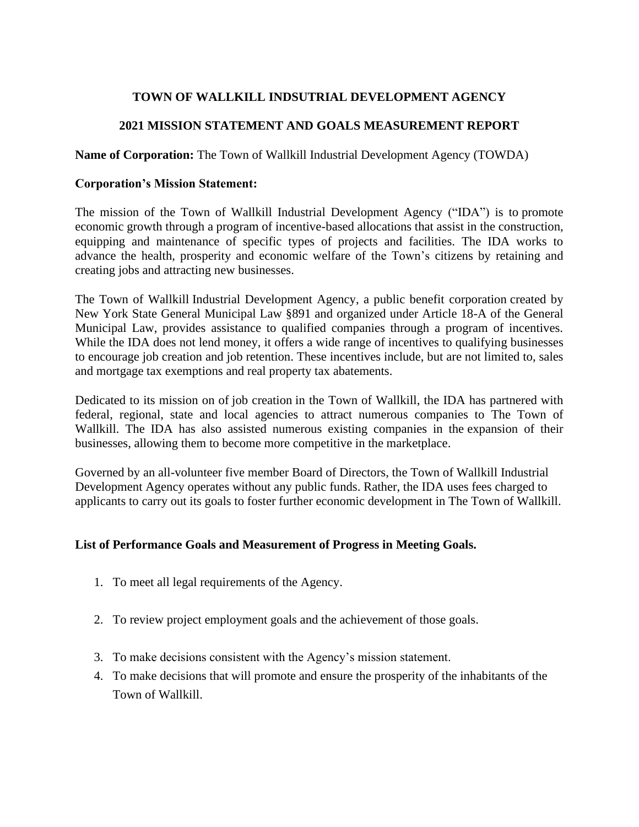# **TOWN OF WALLKILL INDSUTRIAL DEVELOPMENT AGENCY**

# **2021 MISSION STATEMENT AND GOALS MEASUREMENT REPORT**

**Name of Corporation:** The Town of Wallkill Industrial Development Agency (TOWDA)

### **Corporation's Mission Statement:**

The mission of the Town of Wallkill Industrial Development Agency ("IDA") is to promote economic growth through a program of incentive-based allocations that assist in the [construction,](http://www.ocnyida.com/new-construction/) equipping and maintenance of specific types of projects and facilities. The IDA works to advance the health, prosperity and economic welfare of the Town's citizens by retaining and creating jobs and attracting new [businesses.](http://www.ocnyida.com/new-business/)

The Town of Wallkill Industrial [Development](http://www.ocnyida.com/industrial-development-agency/) Agency, a public benefit corporation created by New York State General Municipal Law §891 and organized under Article 18-A of the General Municipal Law, provides assistance to qualified companies through a program of incentives. While the IDA does not lend money, it offers a wide range of incentives to qualifying businesses to encourage job creation and job retention. These incentives include, but are not limited to, sales and mortgage tax exemptions and real property tax abatements.

Dedicated to its mission on of job [creation](http://www.ocnyida.com/job-creation/) in the Town of Wallkill, the IDA has partnered with federal, regional, state and local agencies to attract numerous companies to The Town of Wallkill. The IDA has also assisted numerous existing companies in the [expansion](http://www.ocnyida.com/business-expansion/) of their [businesses,](http://www.ocnyida.com/business-expansion/) allowing them to become more competitive in the marketplace.

Governed by an all-volunteer five member Board of Directors, the Town of Wallkill Industrial Development Agency operates without any public funds. Rather, the IDA uses fees charged to applicants to carry out its goals to foster further economic [development](http://www.ocnyida.com/economic-development-incentives/) in The Town of Wallkill.

## **List of Performance Goals and Measurement of Progress in Meeting Goals.**

- 1. To meet all legal requirements of the Agency.
- 2. To review project employment goals and the achievement of those goals.
- 3. To make decisions consistent with the Agency's mission statement.
- 4. To make decisions that will promote and ensure the prosperity of the inhabitants of the Town of Wallkill.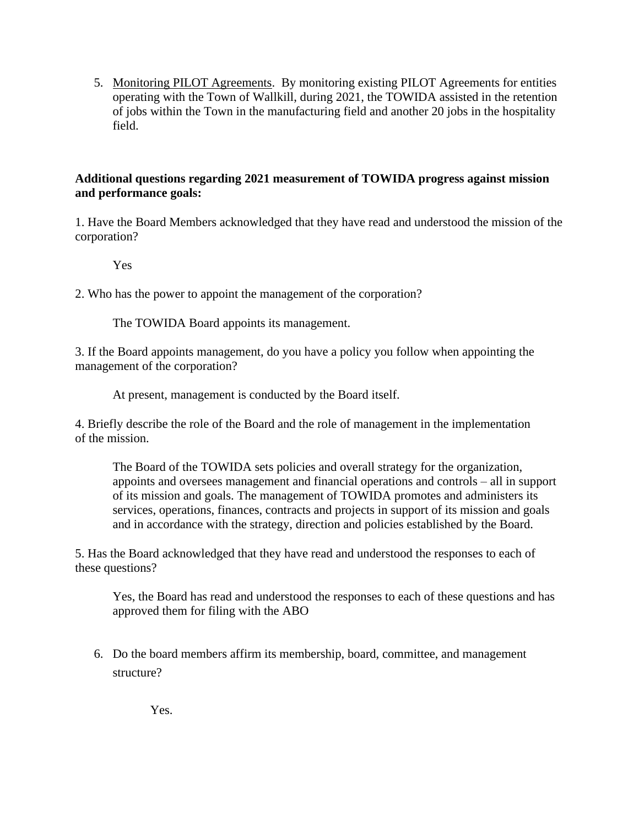5. Monitoring PILOT Agreements. By monitoring existing PILOT Agreements for entities operating with the Town of Wallkill, during 2021, the TOWIDA assisted in the retention of jobs within the Town in the manufacturing field and another 20 jobs in the hospitality field.

## **Additional questions regarding 2021 measurement of TOWIDA progress against mission and performance goals:**

1. Have the Board Members acknowledged that they have read and understood the mission of the corporation?

Yes

2. Who has the power to appoint the management of the corporation?

The TOWIDA Board appoints its management.

3. If the Board appoints management, do you have a policy you follow when appointing the management of the corporation?

At present, management is conducted by the Board itself.

4. Briefly describe the role of the Board and the role of management in the implementation of the mission.

The Board of the TOWIDA sets policies and overall strategy for the organization, appoints and oversees management and financial operations and controls – all in support of its mission and goals. The management of TOWIDA promotes and administers its services, operations, finances, contracts and projects in support of its mission and goals and in accordance with the strategy, direction and policies established by the Board.

5. Has the Board acknowledged that they have read and understood the responses to each of these questions?

Yes, the Board has read and understood the responses to each of these questions and has approved them for filing with the ABO

6. Do the board members affirm its membership, board, committee, and management structure?

Yes.